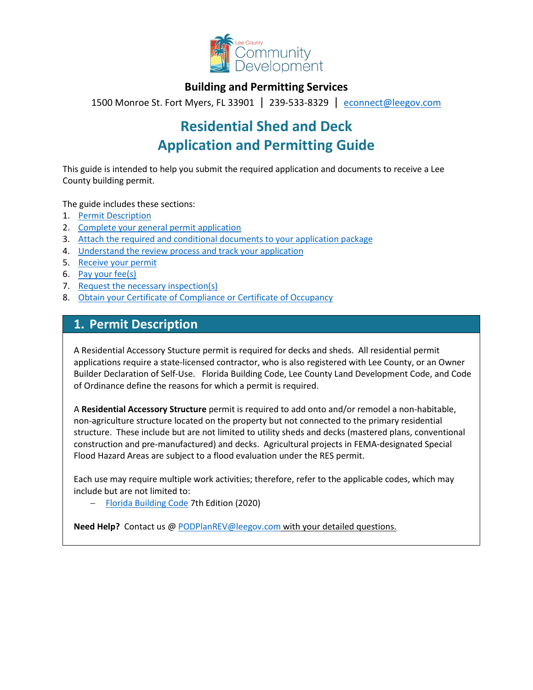

## **Building and Permitting Services**

1500 Monroe St. Fort Myers, FL 33901 | 239-533-8329 |[econnect@leegov.com](mailto:econnect@leegov.com)

# **Residential Shed and Deck Application and Permitting Guide**

This guide is intended to help you submit the required application and documents to receive a Lee County building permit.

The guide includes these sections:

- 1. [Permit Description](#page-0-0)
- 2. [Complete your general permit application](#page-1-0)
- 3. [Attach the required and conditional documents to your application package](#page-3-0)
- 4. [Understand the review process and track your application](#page-6-0)
- 5. [Receive your permit](#page-6-1)
- 6. [Pay your fee\(s\)](#page-7-0)
- 7. [Request the necessary inspection\(s\)](#page-7-1)
- 8. [Obtain your Certificate of Compliance or Certificate of Occupancy](#page-8-0)

## <span id="page-0-0"></span>**1. Permit Description**

A Residential Accessory Stucture permit is required for decks and sheds. All residential permit applications require a state-licensed contractor, who is also registered with Lee County, or an Owner Builder Declaration of Self-Use. Florida Building Code, Lee County Land Development Code, and Code of Ordinance define the reasons for which a permit is required.

A **Residential Accessory Structure** permit is required to add onto and/or remodel a non-habitable, non-agriculture structure located on the property but not connected to the primary residential structure. These include but are not limited to utility sheds and decks (mastered plans, conventional construction and pre-manufactured) and decks. Agricultural projects in FEMA-designated Special Flood Hazard Areas are subject to a flood evaluation under the RES permit.

Each use may require multiple work activities; therefore, refer to the applicable codes, which may include but are not limited to:

− [Florida Building Code](https://codes.iccsafe.org/codes/florida) 7th Edition (2020)

**Need Help?** Contact us @ [PODPlanREV@leegov.com](mailto:PODPlanREV@leegov.com) with your detailed questions.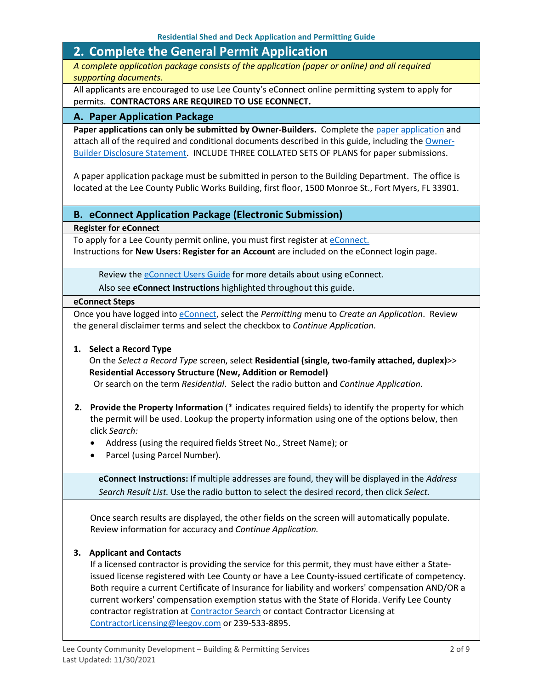## <span id="page-1-0"></span>**2. Complete the General Permit Application**

*A complete application package consists of the application (paper or online) and all required supporting documents.*

All applicants are encouraged to use Lee County's eConnect online permitting system to apply for permits. **CONTRACTORS ARE REQUIRED TO USE ECONNECT.**

### **A. Paper Application Package**

Paper applications can only be submitted by Owner-Builders. Complete the [paper application](https://www.leegov.com/dcd/PermittingDocs/ResBuildingPermitApp.pdf) and attach all of the required and conditional documents described in this guide, including the [Owner-](https://www.leegov.com/dcd/PermittingDocs/OwnerBldrDisclosure.pdf)[Builder Disclosure Statement.](https://www.leegov.com/dcd/PermittingDocs/OwnerBldrDisclosure.pdf) INCLUDE THREE COLLATED SETS OF PLANS for paper submissions.

A paper application package must be submitted in person to the Building Department. The office is located at the Lee County Public Works Building, first floor, 1500 Monroe St., Fort Myers, FL 33901.

### **B. eConnect Application Package (Electronic Submission)**

**Register for eConnect**

To apply for a Lee County permit online, you must first register at [eConnect.](https://accelaaca.leegov.com/aca/) Instructions for **New Users: Register for an Account** are included on the eConnect login page.

Review the **eConnect Users Guide** for more details about using eConnect.

Also see **eConnect Instructions** highlighted throughout this guide.

#### **eConnect Steps**

Once you have logged into [eConnect,](https://accelaaca.leegov.com/aca/) select the *Permitting* menu to *Create an Application*. Review the general disclaimer terms and select the checkbox to *Continue Application*.

#### **1. Select a Record Type**

On the *Select a Record Type* screen, select **Residential (single, two-family attached, duplex)**>> **Residential Accessory Structure (New, Addition or Remodel)**

Or search on the term *Residential*. Select the radio button and *Continue Application*.

- **2. Provide the Property Information** (\* indicates required fields) to identify the property for which the permit will be used. Lookup the property information using one of the options below, then click *Search:*
	- Address (using the required fields Street No., Street Name); or
	- Parcel (using Parcel Number).

**eConnect Instructions:** If multiple addresses are found, they will be displayed in the *Address Search Result List.* Use the radio button to select the desired record, then click *Select.*

Once search results are displayed, the other fields on the screen will automatically populate. Review information for accuracy and *Continue Application.*

#### **3. Applicant and Contacts**

If a licensed contractor is providing the service for this permit, they must have either a Stateissued license registered with Lee County or have a Lee County-issued certificate of competency. Both require a current Certificate of Insurance for liability and workers' compensation AND/OR a current workers' compensation exemption status with the State of Florida. Verify Lee County contractor registration at [Contractor Search](https://www.leegov.com/dcd/ContLic/ActCont) or contact Contractor Licensing at [ContractorLicensing@leegov.com](mailto:ContractorLicensing@leegov.com) or 239-533-8895.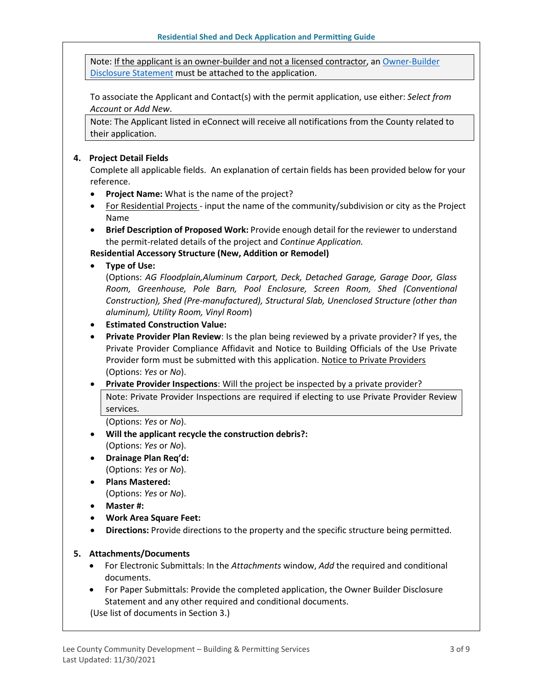Note: If the applicant is an owner-builder and not a licensed contractor, a[n Owner-Builder](https://www.leegov.com/dcd/PermittingDocs/OwnerBldrDisclosure.pdf)  [Disclosure Statement](https://www.leegov.com/dcd/PermittingDocs/OwnerBldrDisclosure.pdf) must be attached to the application.

To associate the Applicant and Contact(s) with the permit application, use either: *Select from Account* or *Add New*.

Note: The Applicant listed in eConnect will receive all notifications from the County related to their application.

#### **4. Project Detail Fields**

Complete all applicable fields. An explanation of certain fields has been provided below for your reference.

- **Project Name:** What is the name of the project?
- For Residential Projects input the name of the community/subdivision or city as the Project Name
- **Brief Description of Proposed Work:** Provide enough detail for the reviewer to understand the permit-related details of the project and *Continue Application.*

**Residential Accessory Structure (New, Addition or Remodel)**

• **Type of Use:** 

(Options: *AG Floodplain,Aluminum Carport, Deck, Detached Garage, Garage Door, Glass Room, Greenhouse, Pole Barn, Pool Enclosure, Screen Room, Shed (Conventional Construction), Shed (Pre-manufactured), Structural Slab, Unenclosed Structure (other than aluminum), Utility Room, Vinyl Room*)

- **Estimated Construction Value:**
- **Private Provider Plan Review**: Is the plan being reviewed by a private provider? If yes, the Private Provider Compliance Affidavit and Notice to Building Officials of the Use Private Provider form must be submitted with this application. [Notice to Private Providers](https://www.floridabuilding.org/fbc/committees/Private_Providers/Private_Providers.htm) (Options: *Yes* or *No*).
- **Private Provider Inspections**: Will the project be inspected by a private provider? Note: Private Provider Inspections are required if electing to use Private Provider Review services.

(Options: *Yes* or *No*).

- **Will the applicant recycle the construction debris?:** (Options: *Yes* or *No*).
- **Drainage Plan Req'd:** (Options: *Yes* or *No*).
- **Plans Mastered:** (Options: *Yes* or *No*).
- **Master #:**
- **Work Area Square Feet:**
- **Directions:** Provide directions to the property and the specific structure being permitted.

#### **5. Attachments/Documents**

- For Electronic Submittals: In the *Attachments* window, *Add* the required and conditional documents.
- For Paper Submittals: Provide the completed application, the Owner Builder Disclosure Statement and any other required and conditional documents.

(Use list of documents in Section 3.)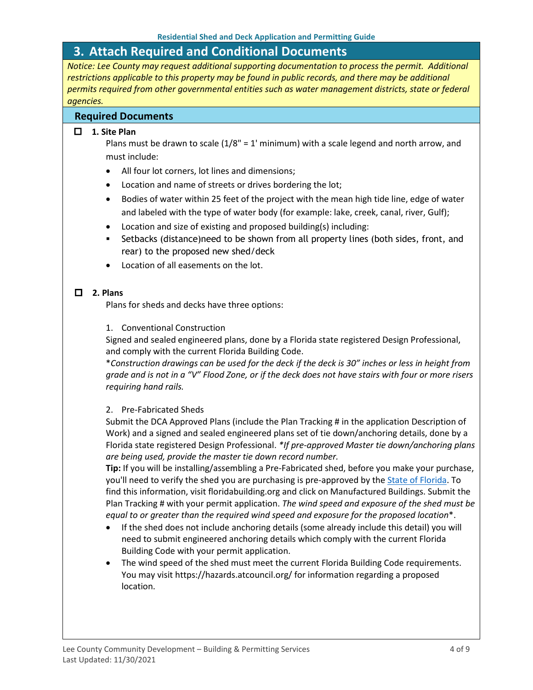## <span id="page-3-0"></span>**3. Attach Required and Conditional Documents**

*Notice: Lee County may request additional supporting documentation to process the permit. Additional restrictions applicable to this property may be found in public records, and there may be additional permits required from other governmental entities such as water management districts, state or federal agencies.*

## **Required Documents**

### **1. Site Plan**

Plans must be drawn to scale  $(1/8" = 1'$  minimum) with a scale legend and north arrow, and must include:

- All four lot corners, lot lines and dimensions;
- Location and name of streets or drives bordering the lot;
- Bodies of water within 25 feet of the project with the mean high tide line, edge of water and labeled with the type of water body (for example: lake, creek, canal, river, Gulf);
- Location and size of existing and proposed building(s) including:
- Setbacks (distance)need to be shown from all property lines (both sides, front, and rear) to the proposed new shed/deck
- Location of all easements on the lot.

## **2. Plans**

Plans for sheds and decks have three options:

1. Conventional Construction

Signed and sealed engineered plans, done by a Florida state registered Design Professional, and comply with the current Florida Building Code.

\**Construction drawings can be used for the deck if the deck is 30" inches or less in height from grade and is not in a "V" Flood Zone, or if the deck does not have stairs with four or more risers requiring hand rails.*

## 2. Pre-Fabricated Sheds

Submit the DCA Approved Plans (include the Plan Tracking # in the application Description of Work) and a signed and sealed engineered plans set of tie down/anchoring details, done by a Florida state registered Design Professional. *\*If pre-approved Master tie down/anchoring plans are being used, provide the master tie down record number.* 

**Tip:** If you will be installing/assembling a Pre-Fabricated shed, before you make your purchase, you'll need to verify the shed you are purchasing is pre-approved by the [State of Florida.](https://www.floridabuilding.org/mb/mb_plan_srch.aspx) To find this information, visit floridabuilding.org and click on Manufactured Buildings. Submit the Plan Tracking # with your permit application. *The wind speed and exposure of the shed must be equal to or greater than the required wind speed and exposure for the proposed location*\*.

- If the shed does not include anchoring details (some already include this detail) you will need to submit engineered anchoring details which comply with the current Florida Building Code with your permit application.
- The wind speed of the shed must meet the current Florida Building Code requirements. You may visit https://hazards.atcouncil.org/ for information regarding a proposed location.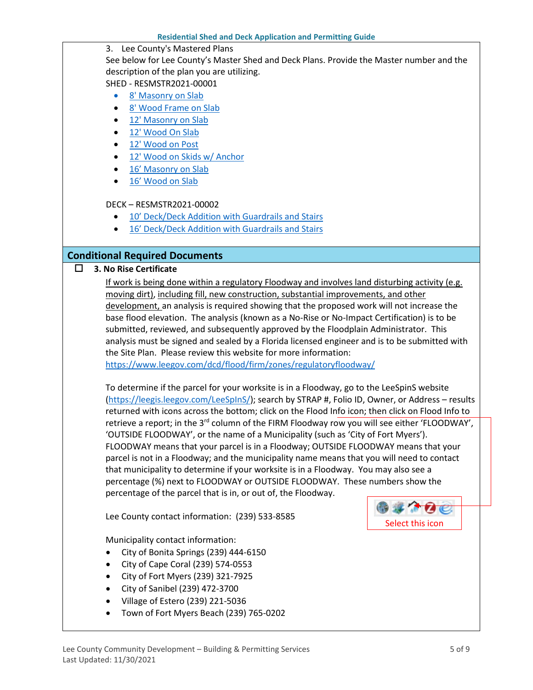3. Lee County's Mastered Plans

See below for Lee County's Master Shed and Deck Plans. Provide the Master number and the description of the plan you are utilizing. SHED - RESMSTR2021-00001

- [8' Masonry on Slab](https://www.leegov.com/dcd/Documents/BldPermitServ/RESMSTR2021-00001/LC%208%20Masonry.pdf)
- [8' Wood Frame on Slab](https://www.leegov.com/dcd/Documents/BldPermitServ/RESMSTR2021-00001/LC%208%20Wood.pdf)
- [12' Masonry on Slab](https://www.leegov.com/dcd/Documents/BldPermitServ/RESMSTR2021-00001/LC%2012%20Masonry.pdf)
- [12' Wood On Slab](https://www.leegov.com/dcd/Documents/BldPermitServ/RESMSTR2021-00001/LC%2012%20Wood.pdf)
- [12' Wood on Post](https://www.leegov.com/dcd/Documents/BldPermitServ/RESMSTR2021-00001/LC%2012%20Wood%20Raised%20Posts.pdf)
- [12' Wood on Skids w/ Anchor](https://www.leegov.com/dcd/Documents/BldPermitServ/RESMSTR2021-00001/LC%2012%20Wood%20Raised%20Skids.pdf)
- 16' [Masonry on Slab](https://www.leegov.com/dcd/Documents/BldPermitServ/RESMSTR2021-00001/LC%2016%20Masonry.pdf)
- [16' Wood on Slab](https://www.leegov.com/dcd/Documents/BldPermitServ/RESMSTR2021-00001/LC%2016%20Wood.pdf)

#### DECK – RESMSTR2021-00002

- [10' Deck/Deck Addition with Guardrails and Stairs](https://www.leegov.com/dcd/Documents/BldPermitServ/RESMSTR2021-00002/LC%2010%20Deck.pdf)
- [16' Deck/Deck Addition with Guardrails and Stairs](https://www.leegov.com/dcd/Documents/BldPermitServ/RESMSTR2021-00002/LC%2016%20Deck.pdf)

## **Conditional Required Documents**

**3. No Rise Certificate**

If work is being done within a regulatory Floodway and involves land disturbing activity (e.g. moving dirt), including fill, new construction, substantial improvements, and other development, an analysis is required showing that the proposed work will not increase the base flood elevation. The analysis (known as a No-Rise or No-Impact Certification) is to be submitted, reviewed, and subsequently approved by the Floodplain Administrator. This analysis must be signed and sealed by a Florida licensed engineer and is to be submitted with the Site Plan. Please review this website for more information: <https://www.leegov.com/dcd/flood/firm/zones/regulatoryfloodway/>

To determine if the parcel for your worksite is in a Floodway, go to the LeeSpinS website [\(https://leegis.leegov.com/LeeSpInS/\)](https://leegis.leegov.com/LeeSpInS/); search by STRAP #, Folio ID, Owner, or Address – results returned with icons across the bottom; click on the Flood Info icon; then click on Flood Info to retrieve a report; in the 3<sup>rd</sup> column of the FIRM Floodway row you will see either 'FLOODWAY', 'OUTSIDE FLOODWAY', or the name of a Municipality (such as 'City of Fort Myers'). FLOODWAY means that your parcel is in a Floodway; OUTSIDE FLOODWAY means that your parcel is not in a Floodway; and the municipality name means that you will need to contact that municipality to determine if your worksite is in a Floodway. You may also see a percentage (%) next to FLOODWAY or OUTSIDE FLOODWAY. These numbers show the percentage of the parcel that is in, or out of, the Floodway.

Lee County contact information: (239) 533-8585

Municipality contact information:

- City of Bonita Springs (239) 444-6150
- City of Cape Coral (239) 574-0553
- City of Fort Myers (239) 321-7925
- City of Sanibel (239) 472-3700
- Village of Estero (239) 221-5036
- Town of Fort Myers Beach (239) 765-0202

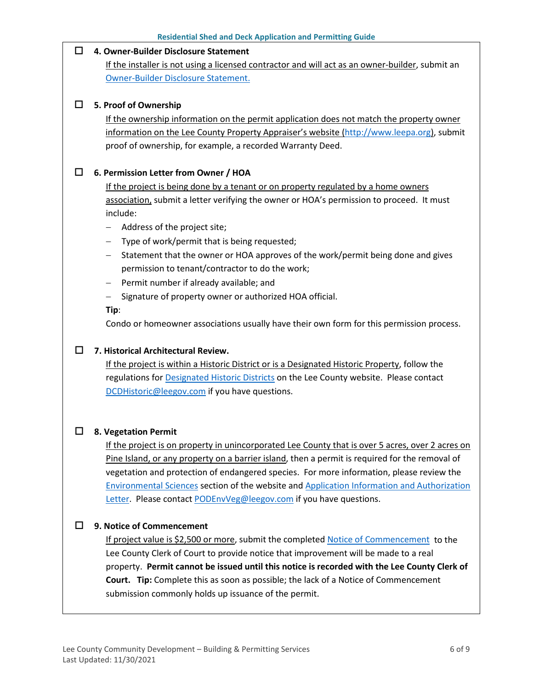#### **4. Owner-Builder Disclosure Statement**

If the installer is not using a licensed contractor and will act as an owner-builder, submit an [Owner-Builder Disclosure Statement.](https://www.leegov.com/dcd/PermittingDocs/OwnerBldrDisclosure.pdf)

#### **5. Proof of Ownership**

If the ownership information on the permit application does not match the property owner information on the Lee County Property Appraiser's website [\(http://www.leepa.org\)](http://www.leepa.org/), submit proof of ownership, for example, a recorded Warranty Deed.

### **6. Permission Letter from Owner / HOA**

If the project is being done by a tenant or on property regulated by a home owners association, submit a letter verifying the owner or HOA's permission to proceed. It must include:

- − Address of the project site;
- − Type of work/permit that is being requested;
- − Statement that the owner or HOA approves of the work/permit being done and gives permission to tenant/contractor to do the work;
- − Permit number if already available; and
- − Signature of property owner or authorized HOA official.

#### **Tip**:

Condo or homeowner associations usually have their own form for this permission process.

#### **7. Historical Architectural Review.**

If the project is within a Historic District or is a Designated Historic Property, follow the regulations for **Designated Historic Districts** on the Lee County website. Please contact [DCDHistoric@leegov.com](mailto:DCDHistoric@leegov.com) if you have questions.

#### **8. Vegetation Permit**

If the project is on property in unincorporated Lee County that is over 5 acres, over 2 acres on Pine Island, or any property on a barrier island, then a permit is required for the removal of vegetation and protection of endangered species. For more information, please review the [Environmental Sciences](https://www.leegov.com/dcd/es) section of the website and [Application Information and Authorization](https://www.leegov.com/dcd/es/apps)  [Letter.](https://www.leegov.com/dcd/es/apps) Please contac[t PODEnvVeg@leegov.com](mailto:PODEnvVeg@leegov.com) if you have questions.

#### **9. Notice of Commencement**

If project value is \$2,500 or more, submit the completed [Notice of Commencement](https://www.leegov.com/dcd/PermittingDocs/NoticeofCommencement.pdf) to the Lee County Clerk of Court to provide notice that improvement will be made to a real property. **Permit cannot be issued until this notice is recorded with the Lee County Clerk of Court. Tip:** Complete this as soon as possible; the lack of a Notice of Commencement submission commonly holds up issuance of the permit.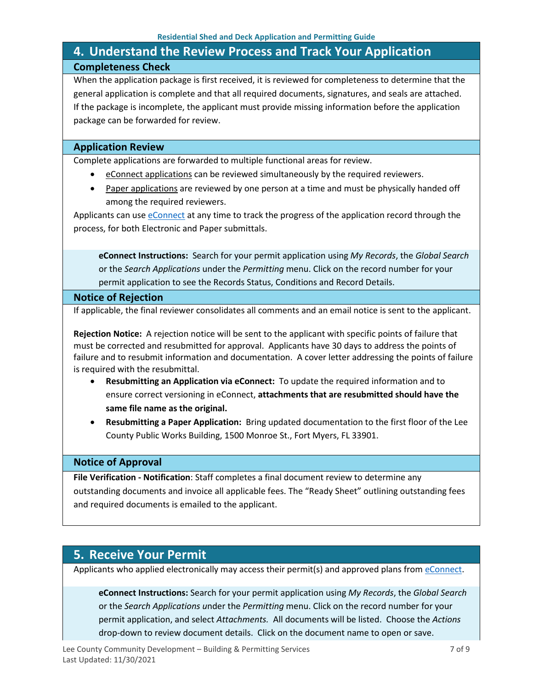## <span id="page-6-0"></span>**4. Understand the Review Process and Track Your Application Completeness Check**

When the application package is first received, it is reviewed for completeness to determine that the general application is complete and that all required documents, signatures, and seals are attached. If the package is incomplete, the applicant must provide missing information before the application package can be forwarded for review.

### **Application Review**

Complete applications are forwarded to multiple functional areas for review.

- eConnect applications can be reviewed simultaneously by the required reviewers.
- Paper applications are reviewed by one person at a time and must be physically handed off among the required reviewers.

Applicants can use [eConnect](https://accelaaca.leegov.com/aca/) at any time to track the progress of the application record through the process, for both Electronic and Paper submittals.

**eConnect Instructions:** Search for your permit application using *My Records*, the *Global Search* or the *Search Applications* under the *Permitting* menu. Click on the record number for your permit application to see the Records Status, Conditions and Record Details.

#### **Notice of Rejection**

If applicable, the final reviewer consolidates all comments and an email notice is sent to the applicant.

**Rejection Notice:** A rejection notice will be sent to the applicant with specific points of failure that must be corrected and resubmitted for approval. Applicants have 30 days to address the points of failure and to resubmit information and documentation. A cover letter addressing the points of failure is required with the resubmittal.

- **Resubmitting an Application via eConnect:** To update the required information and to ensure correct versioning in eConnect, **attachments that are resubmitted should have the same file name as the original.**
- **Resubmitting a Paper Application:** Bring updated documentation to the first floor of the Lee County Public Works Building, 1500 Monroe St., Fort Myers, FL 33901.

#### **Notice of Approval**

**File Verification - Notification**: Staff completes a final document review to determine any outstanding documents and invoice all applicable fees. The "Ready Sheet" outlining outstanding fees and required documents is emailed to the applicant.

## <span id="page-6-1"></span>**5. Receive Your Permit**

Applicants who applied electronically may access their permit(s) and approved plans from [eConnect.](https://accelaaca.leegov.com/aca/)

**eConnect Instructions:** Search for your permit application using *My Records*, the *Global Search* or the *Search Applications u*nder the *Permitting* menu. Click on the record number for your permit application, and select *Attachments.* All documents will be listed. Choose the *Actions*  drop-down to review document details. Click on the document name to open or save.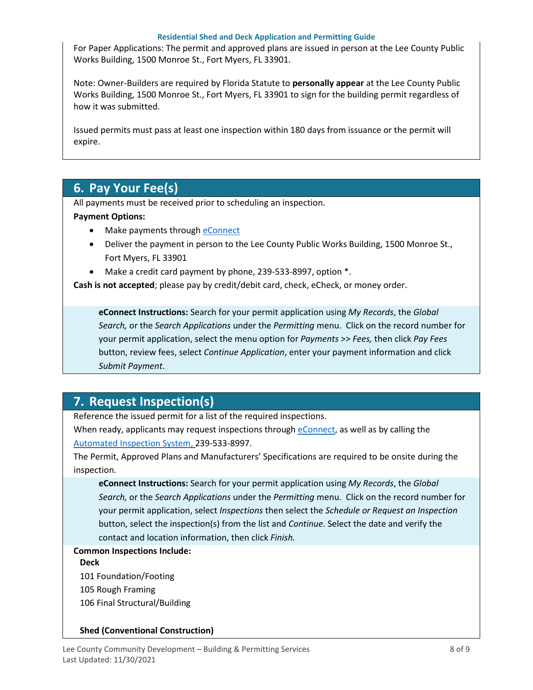#### **Residential Shed and Deck Application and Permitting Guide**

For Paper Applications: The permit and approved plans are issued in person at the Lee County Public Works Building, 1500 Monroe St., Fort Myers, FL 33901.

Note: Owner-Builders are required by Florida Statute to **personally appear** at the Lee County Public Works Building, 1500 Monroe St., Fort Myers, FL 33901 to sign for the building permit regardless of how it was submitted.

Issued permits must pass at least one inspection within 180 days from issuance or the permit will expire.

## <span id="page-7-0"></span>**6. Pay Your Fee(s)**

All payments must be received prior to scheduling an inspection.

### **Payment Options:**

- Make payments through [eConnect](https://accelaaca.leegov.com/aca/)
- Deliver the payment in person to the Lee County Public Works Building, 1500 Monroe St., Fort Myers, FL 33901
- Make a credit card payment by phone, 239-533-8997, option \*.

**Cash is not accepted**; please pay by credit/debit card, check, eCheck, or money order.

**eConnect Instructions:** Search for your permit application using *My Records*, the *Global Search,* or the *Search Applications* under the *Permitting* menu. Click on the record number for your permit application, select the menu option for *Payments* >> *Fees,* then click *Pay Fees*  button, review fees, select *Continue Application*, enter your payment information and click *Submit Payment*.

## <span id="page-7-1"></span>**7. Request Inspection(s)**

Reference the issued permit for a list of the required inspections.

When ready, applicants may request inspections through [eConnect,](https://accelaaca.leegov.com/aca/) as well as by calling the [Automated Inspection System,](https://www.leegov.com/dcd/BldPermitServ/Insp/AutoInsp) 239-533-8997.

The Permit, Approved Plans and Manufacturers' Specifications are required to be onsite during the inspection.

**eConnect Instructions:** Search for your permit application using *My Records*, the *Global Search,* or the *Search Applications* under the *Permitting* menu. Click on the record number for your permit application, select *Inspections* then select the *Schedule or Request an Inspection* button, select the inspection(s) from the list and *Continue.* Select the date and verify the contact and location information, then click *Finish.*

## **Common Inspections Include:**

#### **Deck**

- 101 Foundation/Footing
- 105 Rough Framing
- 106 Final Structural/Building

#### **Shed (Conventional Construction)**